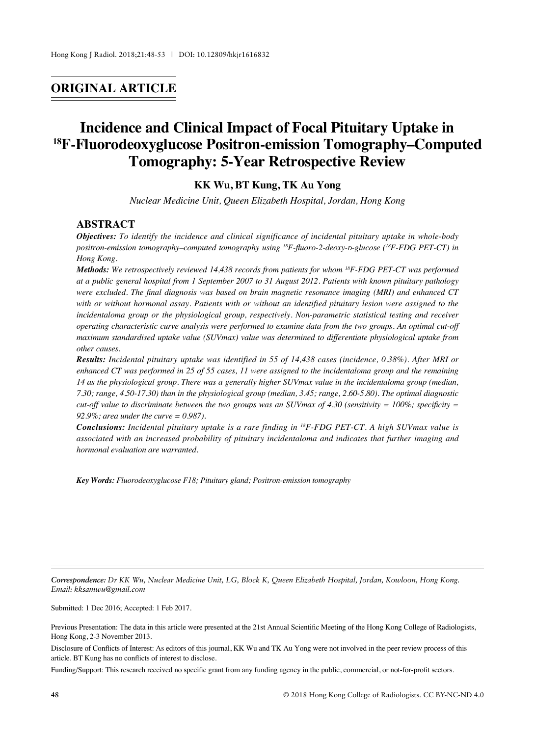## **ORIGINAL ARTICLE**

# **Incidence and Clinical Impact of Focal Pituitary Uptake in 18F-Fluorodeoxyglucose Positron-emission Tomography–Computed Tomography: 5-Year Retrospective Review**

## **KK Wu, BT Kung, TK Au Yong**

*Nuclear Medicine Unit, Queen Elizabeth Hospital, Jordan, Hong Kong*

#### **ABSTRACT**

*Objectives: To identify the incidence and clinical significance of incidental pituitary uptake in whole-body positron-emission tomography–computed tomography using 18F-fluoro-2-deoxy-d-glucose (18F-FDG PET-CT) in Hong Kong.*

*Methods: We retrospectively reviewed 14,438 records from patients for whom 18F-FDG PET-CT was performed at a public general hospital from 1 September 2007 to 31 August 2012. Patients with known pituitary pathology were excluded. The final diagnosis was based on brain magnetic resonance imaging (MRI) and enhanced CT with or without hormonal assay. Patients with or without an identified pituitary lesion were assigned to the incidentaloma group or the physiological group, respectively. Non-parametric statistical testing and receiver operating characteristic curve analysis were performed to examine data from the two groups. An optimal cut-off maximum standardised uptake value (SUVmax) value was determined to differentiate physiological uptake from other causes.*

*Results: Incidental pituitary uptake was identified in 55 of 14,438 cases (incidence, 0.38%). After MRI or enhanced CT was performed in 25 of 55 cases, 11 were assigned to the incidentaloma group and the remaining 14 as the physiological group. There was a generally higher SUVmax value in the incidentaloma group (median, 7.30; range, 4.50-17.30) than in the physiological group (median, 3.45; range, 2.60-5.80). The optimal diagnostic cut-off value to discriminate between the two groups was an SUVmax of 4.30 (sensitivity =*  $100\%$ *; specificity =*  $\frac{1}{200}$ *. 92.9%; area under the curve = 0.987).*

*Conclusions: Incidental pituitary uptake is a rare finding in 18F-FDG PET-CT. A high SUVmax value is associated with an increased probability of pituitary incidentaloma and indicates that further imaging and hormonal evaluation are warranted.*

*Key Words: Fluorodeoxyglucose F18; Pituitary gland; Positron-emission tomography*

*Correspondence: Dr KK Wu, Nuclear Medicine Unit, LG, Block K, Queen Elizabeth Hospital, Jordan, Kowloon, Hong Kong. Email: kksamwu@gmail.com*

Submitted: 1 Dec 2016; Accepted: 1 Feb 2017.

Funding/Support: This research received no specific grant from any funding agency in the public, commercial, or not-for-profit sectors.

Previous Presentation: The data in this article were presented at the 21st Annual Scientific Meeting of the Hong Kong College of Radiologists, Hong Kong, 2-3 November 2013.

Disclosure of Conflicts of Interest: As editors of this journal, KK Wu and TK Au Yong were not involved in the peer review process of this article. BT Kung has no conflicts of interest to disclose.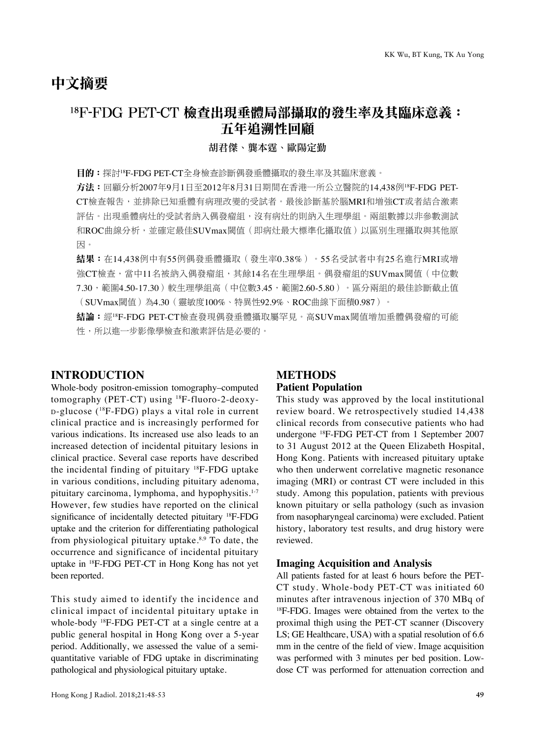## 中文摘要

## 18F-FDG PET-CT 檢查出現垂體局部攝取的發生率及其臨床意義: 五年追溯性回顧

#### 胡君傑、龔本霆、歐陽定勤

目的:探討<sup>18</sup>F-FDG PET-CT全身檢查診斷偶發垂體攝取的發生率及其臨床意義。

方法:回顧分析2007年9月1日至2012年8月31日期間在香港一所公立醫院的14,438例<sup>18</sup>F-FDG PET-CT檢查報告,並排除已知垂體有病理改變的受試者。最後診斷基於腦MRI和增強CT或者結合激素 評估。出現垂體病灶的受試者納入偶發瘤組,沒有病灶的則納入生理學組。兩組數據以非參數測試 和ROC曲線分析,並確定最佳SUVmax閾值(即病灶最大標準化攝取值)以區別生理攝取與其他原 因。

結果:在14,438例中有55例偶發垂體攝取(發生率0.38%)。55名受試者中有25名進行MRI或增 強CT檢查,當中11名被納入偶發瘤組,其餘14名在生理學組。偶發瘤組的SUVmax閾值(中位數 7.30,範圍4.50-17.30)較生理學組高(中位數3.45,範圍2.60-5.80)。區分兩組的最佳診斷截止值 (SUVmax閾值)為4.30(靈敏度100%、特異性92.9%、ROC曲線下面積0.987)。

結論:經<sup>18</sup>F-FDG PET-CT檢查發現偶發垂體攝取屬罕見。高SUVmax閾值增加垂體偶發瘤的可能 性,所以進一步影像學檢查和激素評估是必要的。

### **INTRODUCTION**

Whole-body positron-emission tomography–computed tomography (PET-CT) using <sup>18</sup>F-fluoro-2-deoxy<sup>d</sup>-glucose (18F-FDG) plays a vital role in current clinical practice and is increasingly performed for various indications. Its increased use also leads to an increased detection of incidental pituitary lesions in clinical practice. Several case reports have described the incidental finding of pituitary 18F-FDG uptake in various conditions, including pituitary adenoma, pituitary carcinoma, lymphoma, and hypophysitis.<sup>1-7</sup> However, few studies have reported on the clinical significance of incidentally detected pituitary <sup>18</sup>F-FDG uptake and the criterion for differentiating pathological from physiological pituitary uptake. $8,9$  To date, the occurrence and significance of incidental pituitary uptake in 18F-FDG PET-CT in Hong Kong has not yet been reported.

This study aimed to identify the incidence and clinical impact of incidental pituitary uptake in whole-body 18F-FDG PET-CT at a single centre at a public general hospital in Hong Kong over a 5-year period. Additionally, we assessed the value of a semiquantitative variable of FDG uptake in discriminating pathological and physiological pituitary uptake.

## **METHODS Patient Population**

This study was approved by the local institutional review board. We retrospectively studied 14,438 clinical records from consecutive patients who had undergone 18F-FDG PET-CT from 1 September 2007 to 31 August 2012 at the Queen Elizabeth Hospital, Hong Kong. Patients with increased pituitary uptake who then underwent correlative magnetic resonance imaging (MRI) or contrast CT were included in this study. Among this population, patients with previous known pituitary or sella pathology (such as invasion from nasopharyngeal carcinoma) were excluded. Patient history, laboratory test results, and drug history were reviewed.

#### **Imaging Acquisition and Analysis**

All patients fasted for at least 6 hours before the PET-CT study. Whole-body PET-CT was initiated 60 minutes after intravenous injection of 370 MBq of <sup>18</sup>F-FDG. Images were obtained from the vertex to the proximal thigh using the PET-CT scanner (Discovery LS; GE Healthcare, USA) with a spatial resolution of 6.6 mm in the centre of the field of view. Image acquisition was performed with 3 minutes per bed position. Lowdose CT was performed for attenuation correction and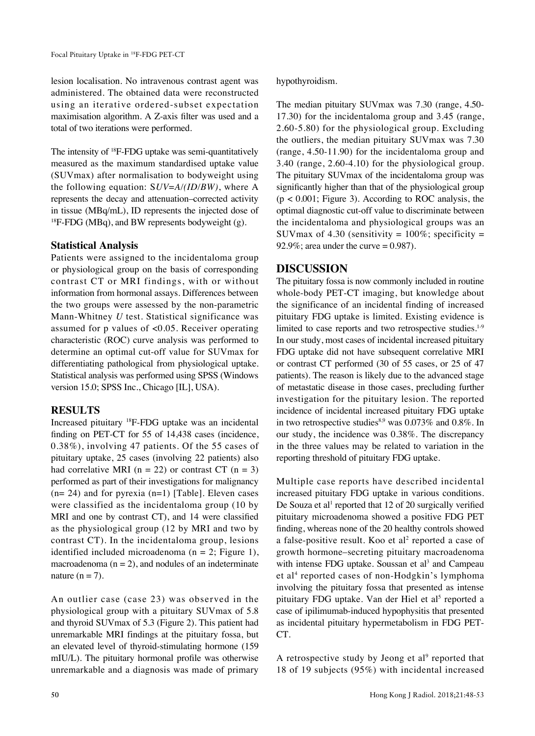lesion localisation. No intravenous contrast agent was administered. The obtained data were reconstructed using an iterative ordered-subset expectation maximisation algorithm. A Z-axis filter was used and a total of two iterations were performed.

The intensity of <sup>18</sup>F-FDG uptake was semi-quantitatively measured as the maximum standardised uptake value (SUVmax) after normalisation to bodyweight using the following equation: S*UV*=*A/(ID/BW)*, where A represents the decay and attenuation–corrected activity in tissue (MBq/mL), ID represents the injected dose of  $^{18}$ F-FDG (MBq), and BW represents bodyweight (g).

### **Statistical Analysis**

Patients were assigned to the incidentaloma group or physiological group on the basis of corresponding contrast CT or MRI findings, with or without information from hormonal assays. Differences between the two groups were assessed by the non-parametric Mann-Whitney *U* test. Statistical significance was assumed for p values of <0.05. Receiver operating characteristic (ROC) curve analysis was performed to determine an optimal cut-off value for SUVmax for differentiating pathological from physiological uptake. Statistical analysis was performed using SPSS (Windows version 15.0; SPSS Inc., Chicago [IL], USA).

### **RESULTS**

Increased pituitary 18F-FDG uptake was an incidental finding on PET-CT for 55 of 14,438 cases (incidence, 0.38%), involving 47 patients. Of the 55 cases of pituitary uptake, 25 cases (involving 22 patients) also had correlative MRI ( $n = 22$ ) or contrast CT ( $n = 3$ ) performed as part of their investigations for malignancy  $(n= 24)$  and for pyrexia  $(n=1)$  [Table]. Eleven cases were classified as the incidentaloma group (10 by MRI and one by contrast CT), and 14 were classified as the physiological group (12 by MRI and two by contrast CT). In the incidentaloma group, lesions identified included microadenoma ( $n = 2$ ; Figure 1), macroadenoma  $(n = 2)$ , and nodules of an indeterminate nature  $(n = 7)$ .

An outlier case (case 23) was observed in the physiological group with a pituitary SUVmax of 5.8 and thyroid SUVmax of 5.3 (Figure 2). This patient had unremarkable MRI findings at the pituitary fossa, but an elevated level of thyroid-stimulating hormone (159 mIU/L). The pituitary hormonal profile was otherwise unremarkable and a diagnosis was made of primary hypothyroidism.

The median pituitary SUVmax was 7.30 (range, 4.50- 17.30) for the incidentaloma group and 3.45 (range, 2.60-5.80) for the physiological group. Excluding the outliers, the median pituitary SUVmax was 7.30 (range, 4.50-11.90) for the incidentaloma group and 3.40 (range, 2.60-4.10) for the physiological group. The pituitary SUVmax of the incidentaloma group was significantly higher than that of the physiological group  $(p < 0.001$ ; Figure 3). According to ROC analysis, the optimal diagnostic cut-off value to discriminate between the incidentaloma and physiological groups was an SUVmax of 4.30 (sensitivity =  $100\%$ ; specificity = 92.9%; area under the curve  $= 0.987$ ).

## **DISCUSSION**

The pituitary fossa is now commonly included in routine whole-body PET-CT imaging, but knowledge about the significance of an incidental finding of increased pituitary FDG uptake is limited. Existing evidence is limited to case reports and two retrospective studies.<sup>1-9</sup> In our study, most cases of incidental increased pituitary FDG uptake did not have subsequent correlative MRI or contrast CT performed (30 of 55 cases, or 25 of 47 patients). The reason is likely due to the advanced stage of metastatic disease in those cases, precluding further investigation for the pituitary lesion. The reported incidence of incidental increased pituitary FDG uptake in two retrospective studies<sup>8,9</sup> was  $0.073\%$  and  $0.8\%$ . In our study, the incidence was 0.38%. The discrepancy in the three values may be related to variation in the reporting threshold of pituitary FDG uptake.

Multiple case reports have described incidental increased pituitary FDG uptake in various conditions. De Souza et al<sup>1</sup> reported that 12 of 20 surgically verified pituitary microadenoma showed a positive FDG PET finding, whereas none of the 20 healthy controls showed a false-positive result. Koo et al<sup>2</sup> reported a case of growth hormone–secreting pituitary macroadenoma with intense FDG uptake. Soussan et al<sup>3</sup> and Campeau et al<sup>4</sup> reported cases of non-Hodgkin's lymphoma involving the pituitary fossa that presented as intense pituitary FDG uptake. Van der Hiel et al<sup>5</sup> reported a case of ipilimumab-induced hypophysitis that presented as incidental pituitary hypermetabolism in FDG PET-CT.

A retrospective study by Jeong et al<sup>9</sup> reported that 18 of 19 subjects (95%) with incidental increased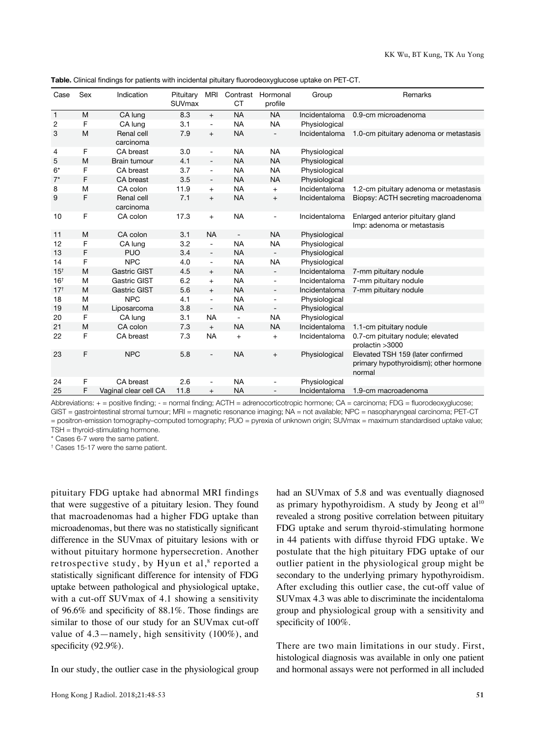| Case            | Sex | Indication              | Pituitary<br>SUVmax | <b>MRI</b>                   | СT                       | Contrast Hormonal<br>profile | Group         | Remarks                                                                               |
|-----------------|-----|-------------------------|---------------------|------------------------------|--------------------------|------------------------------|---------------|---------------------------------------------------------------------------------------|
| $\mathbf{1}$    | M   | CA lung                 | 8.3                 | $+$                          | <b>NA</b>                | <b>NA</b>                    | Incidentaloma | 0.9-cm microadenoma                                                                   |
| 2               | F   | CA lung                 | 3.1                 | $\overline{\phantom{a}}$     | <b>NA</b>                | <b>NA</b>                    | Physiological |                                                                                       |
| 3               | M   | Renal cell<br>carcinoma | 7.9                 | $\ddot{}$                    | <b>NA</b>                | $\overline{a}$               | Incidentaloma | 1.0-cm pituitary adenoma or metastasis                                                |
| 4               | F   | CA breast               | 3.0                 | ÷                            | <b>NA</b>                | <b>NA</b>                    | Physiological |                                                                                       |
| 5               | M   | <b>Brain tumour</b>     | 4.1                 | $\overline{a}$               | <b>NA</b>                | <b>NA</b>                    | Physiological |                                                                                       |
| $6*$            | F   | CA breast               | 3.7                 | $\overline{\phantom{a}}$     | <b>NA</b>                | <b>NA</b>                    | Physiological |                                                                                       |
| $7^*$           | F   | CA breast               | 3.5                 | $\qquad \qquad \blacksquare$ | <b>NA</b>                | <b>NA</b>                    | Physiological |                                                                                       |
| 8               | M   | CA colon                | 11.9                | $+$                          | <b>NA</b>                | $+$                          | Incidentaloma | 1.2-cm pituitary adenoma or metastasis                                                |
| 9               | F   | Renal cell<br>carcinoma | 7.1                 | $+$                          | <b>NA</b>                | $^{+}$                       | Incidentaloma | Biopsy: ACTH secreting macroadenoma                                                   |
| 10              | F   | CA colon                | 17.3                | $\ddot{}$                    | <b>NA</b>                |                              | Incidentaloma | Enlarged anterior pituitary gland<br>Imp: adenoma or metastasis                       |
| 11              | M   | CA colon                | 3.1                 | <b>NA</b>                    | $\overline{\phantom{a}}$ | <b>NA</b>                    | Physiological |                                                                                       |
| 12              | F   | CA lung                 | 3.2                 | $\overline{a}$               | <b>NA</b>                | <b>NA</b>                    | Physiological |                                                                                       |
| 13              | F   | <b>PUO</b>              | 3.4                 | $\overline{a}$               | <b>NA</b>                | ۰.                           | Physiological |                                                                                       |
| 14              | F   | <b>NPC</b>              | 4.0                 | $\overline{a}$               | <b>NA</b>                | <b>NA</b>                    | Physiological |                                                                                       |
| 15 <sup>†</sup> | M   | <b>Gastric GIST</b>     | 4.5                 | $+$                          | <b>NA</b>                | $\overline{\phantom{a}}$     | Incidentaloma | 7-mm pituitary nodule                                                                 |
| 16 <sup>†</sup> | M   | Gastric GIST            | 6.2                 | $+$                          | <b>NA</b>                | $\overline{\phantom{0}}$     | Incidentaloma | 7-mm pituitary nodule                                                                 |
| $17^{+}$        | M   | <b>Gastric GIST</b>     | 5.6                 | $+$                          | <b>NA</b>                | $\frac{1}{2}$                | Incidentaloma | 7-mm pituitary nodule                                                                 |
| 18              | M   | <b>NPC</b>              | 4.1                 | ÷                            | <b>NA</b>                | $\qquad \qquad \blacksquare$ | Physiological |                                                                                       |
| 19              | M   | Liposarcoma             | 3.8                 | $\overline{\phantom{a}}$     | <b>NA</b>                |                              | Physiological |                                                                                       |
| 20              | F   | CA lung                 | 3.1                 | <b>NA</b>                    | $\overline{\phantom{m}}$ | <b>NA</b>                    | Physiological |                                                                                       |
| 21              | M   | CA colon                | 7.3                 | $\qquad \qquad +$            | <b>NA</b>                | <b>NA</b>                    | Incidentaloma | 1.1-cm pituitary nodule                                                               |
| 22              | F   | CA breast               | 7.3                 | <b>NA</b>                    | $\ddot{}$                | $^{+}$                       | Incidentaloma | 0.7-cm pituitary nodule; elevated<br>prolactin > 3000                                 |
| 23              | F   | <b>NPC</b>              | 5.8                 |                              | <b>NA</b>                | $+$                          | Physiological | Elevated TSH 159 (later confirmed<br>primary hypothyroidism); other hormone<br>normal |
| 24              | F   | CA breast               | 2.6                 |                              | <b>NA</b>                |                              | Physiological |                                                                                       |
| 25              | F   | Vaginal clear cell CA   | 11.8                | $^{+}$                       | <b>NA</b>                |                              | Incidentaloma | 1.9-cm macroadenoma                                                                   |

**Table.** Clinical findings for patients with incidental pituitary fluorodeoxyglucose uptake on PET-CT.

Abbreviations: + = positive finding; - = normal finding; ACTH = adrenocorticotropic hormone; CA = carcinoma; FDG = fluorodeoxyglucose; GIST = gastrointestinal stromal tumour; MRI = magnetic resonance imaging; NA = not available; NPC = nasopharyngeal carcinoma; PET-CT = positron-emission tomography–computed tomography; PUO = pyrexia of unknown origin; SUVmax = maximum standardised uptake value; TSH = thyroid-stimulating hormone.

\* Cases 6-7 were the same patient.

† Cases 15-17 were the same patient.

pituitary FDG uptake had abnormal MRI findings that were suggestive of a pituitary lesion. They found that macroadenomas had a higher FDG uptake than microadenomas, but there was no statistically significant difference in the SUVmax of pituitary lesions with or without pituitary hormone hypersecretion. Another retrospective study, by Hyun et al,<sup>8</sup> reported a statistically significant difference for intensity of FDG uptake between pathological and physiological uptake, with a cut-off SUVmax of 4.1 showing a sensitivity of 96.6% and specificity of 88.1%. Those findings are similar to those of our study for an SUVmax cut-off value of 4.3—namely, high sensitivity (100%), and specificity (92.9%).

In our study, the outlier case in the physiological group

Hong Kong J Radiol. 2018;21:48-53 **51**

had an SUVmax of 5.8 and was eventually diagnosed as primary hypothyroidism. A study by Jeong et  $al^{10}$ revealed a strong positive correlation between pituitary FDG uptake and serum thyroid-stimulating hormone in 44 patients with diffuse thyroid FDG uptake. We postulate that the high pituitary FDG uptake of our outlier patient in the physiological group might be secondary to the underlying primary hypothyroidism. After excluding this outlier case, the cut-off value of SUVmax 4.3 was able to discriminate the incidentaloma group and physiological group with a sensitivity and specificity of 100%.

There are two main limitations in our study. First, histological diagnosis was available in only one patient and hormonal assays were not performed in all included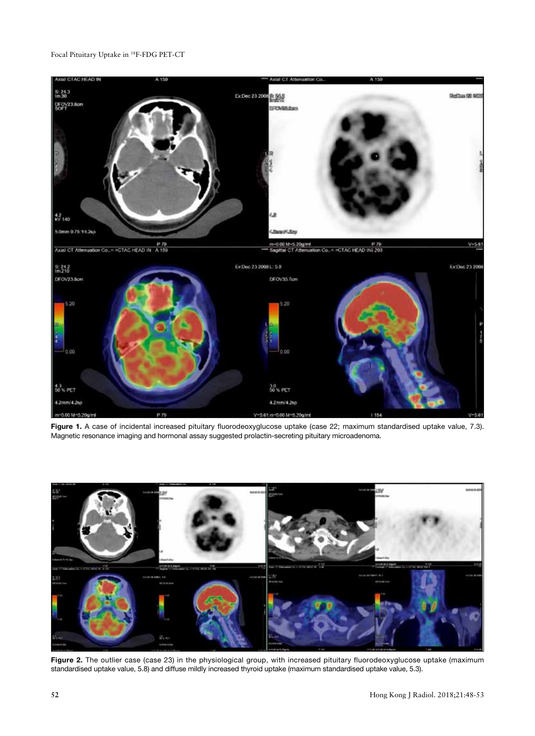#### Focal Pituitary Uptake in 18F-FDG PET-CT



Figure 1. A case of incidental increased pituitary fluorodeoxyglucose uptake (case 22; maximum standardised uptake value, 7.3). Magnetic resonance imaging and hormonal assay suggested prolactin-secreting pituitary microadenoma.



**Figure 2.** The outlier case (case 23) in the physiological group, with increased pituitary fluorodeoxyglucose uptake (maximum standardised uptake value, 5.8) and diffuse mildly increased thyroid uptake (maximum standardised uptake value, 5.3).